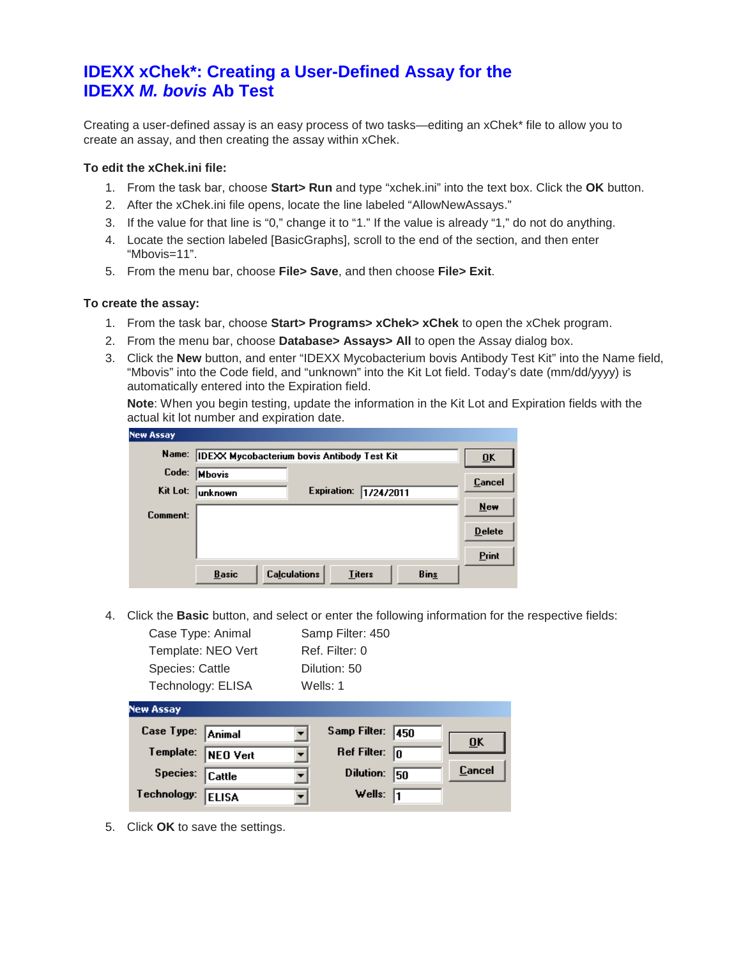# **IDEXX xChek\*: Creating a User-Defined Assay for the IDEXX** *M. bovis* **Ab Test**

Creating a user-defined assay is an easy process of two tasks—editing an xChek\* file to allow you to create an assay, and then creating the assay within xChek.

### **To edit the xChek.ini file:**

- 1. From the task bar, choose **Start> Run** and type "xchek.ini" into the text box. Click the **OK** button.
- 2. After the xChek.ini file opens, locate the line labeled "AllowNewAssays."
- 3. If the value for that line is "0," change it to "1." If the value is already "1," do not do anything.
- 4. Locate the section labeled [BasicGraphs], scroll to the end of the section, and then enter "Mbovis=11".
- 5. From the menu bar, choose **File> Save**, and then choose **File> Exit**.

### **To create the assay:**

- 1. From the task bar, choose **Start> Programs> xChek> xChek** to open the xChek program.
- 2. From the menu bar, choose **Database> Assays> All** to open the Assay dialog box.
- 3. Click the **New** button, and enter "IDEXX Mycobacterium bovis Antibody Test Kit" into the Name field, "Mbovis" into the Code field, and "unknown" into the Kit Lot field. Today's date (mm/dd/yyyy) is automatically entered into the Expiration field.

**Note**: When you begin testing, update the information in the Kit Lot and Expiration fields with the actual kit lot number and expiration date.

| <b>New Assay</b> |                                                                     |               |
|------------------|---------------------------------------------------------------------|---------------|
| Name:            | <b>IDEXX Mycobacterium bovis Antibody Test Kit</b>                  | ŪK            |
| Code:            | <b>Mbovis</b>                                                       | Cancel        |
| Kit Lot:         | Expiration:<br>1/24/2011<br> unknown                                | New           |
| Comment:         |                                                                     | <b>Delete</b> |
|                  |                                                                     |               |
|                  | <b>Calculations</b><br><b>Basic</b><br><b>Titers</b><br><b>Bins</b> |               |
|                  |                                                                     | <b>Print</b>  |

4. Click the **Basic** button, and select or enter the following information for the respective fields:

| Case Type: Animal  | Samp Filter: 450 |
|--------------------|------------------|
| Template: NEO Vert | Ref. Filter: 0   |
| Species: Cattle    | Dilution: 50     |
| Technology: ELISA  | Wells: 1         |

| <b>NEW ASSAY</b>   |                         |     |                           |
|--------------------|-------------------------|-----|---------------------------|
| Case Type: Animal  | Samp Filter: 450        |     | $\overline{\mathbf{0}}$ K |
| Template: NEO Vert | Ref Filter: $\boxed{0}$ |     |                           |
| Species: Cattle    | Dilution:               | 150 | Cancel                    |
| Technology: ELISA  | Wells: $\sqrt{1}$       |     |                           |

5. Click **OK** to save the settings.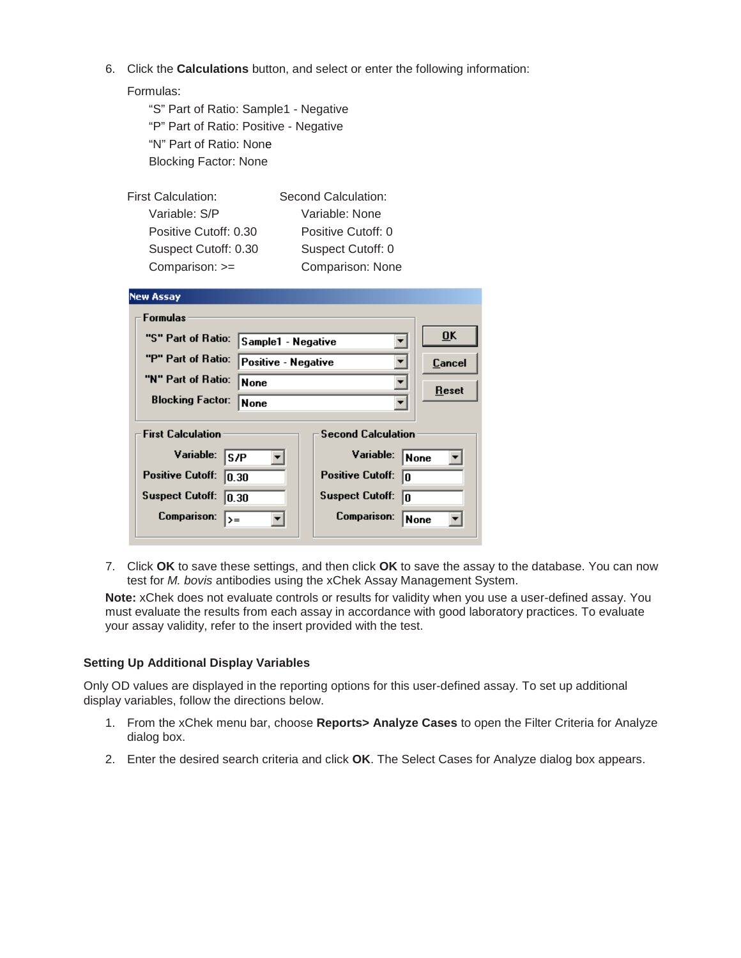6. Click the **Calculations** button, and select or enter the following information:

| "S" Part of Ratio: Sample1 - Negative  |
|----------------------------------------|
| "P" Part of Ratio: Positive - Negative |
| "N" Part of Ratio: None                |
| <b>Blocking Factor: None</b>           |

| <b>First Calculation:</b> | Second Calculation: |
|---------------------------|---------------------|
| Variable: S/P             | Variable: None      |
| Positive Cutoff: 0.30     | Positive Cutoff: 0  |
| Suspect Cutoff: 0.30      | Suspect Cutoff: 0   |
| Comparison: >=            | Comparison: None    |

| <b>New Assay</b>                                                                                                   |                     |                                                                                                                 |                           |
|--------------------------------------------------------------------------------------------------------------------|---------------------|-----------------------------------------------------------------------------------------------------------------|---------------------------|
| <b>Formulas</b>                                                                                                    |                     |                                                                                                                 |                           |
| "S" Part of Ratio:                                                                                                 | Sample1 - Negative  |                                                                                                                 | $\overline{\mathbf{0}}$ K |
| "P" Part of Ratio:                                                                                                 | Positive - Negative |                                                                                                                 | Cancel                    |
| "N" Part of Ratio:                                                                                                 | None                |                                                                                                                 | Reset                     |
| <b>Blocking Factor:</b><br>None                                                                                    |                     |                                                                                                                 |                           |
| <b>First Calculation</b><br>Variable:<br>S/P<br><b>Positive Cutoff:</b><br>0.30<br><b>Suspect Cutoff:</b><br>10.30 |                     | <b>Second Calculation</b><br>Variable:<br>None<br><b>Positive Cutoff:</b><br>In<br><b>Suspect Cutoff:</b><br>In |                           |
| <b>Comparison:</b><br>=<ا                                                                                          |                     | <b>Comparison:</b><br>None                                                                                      |                           |

7. Click **OK** to save these settings, and then click **OK** to save the assay to the database. You can now test for *M. bovis* antibodies using the xChek Assay Management System.

**Note:** xChek does not evaluate controls or results for validity when you use a user-defined assay. You must evaluate the results from each assay in accordance with good laboratory practices. To evaluate your assay validity, refer to the insert provided with the test.

## **Setting Up Additional Display Variables**

Only OD values are displayed in the reporting options for this user-defined assay. To set up additional display variables, follow the directions below.

- 1. From the xChek menu bar, choose **Reports> Analyze Cases** to open the Filter Criteria for Analyze dialog box.
- 2. Enter the desired search criteria and click **OK**. The Select Cases for Analyze dialog box appears.